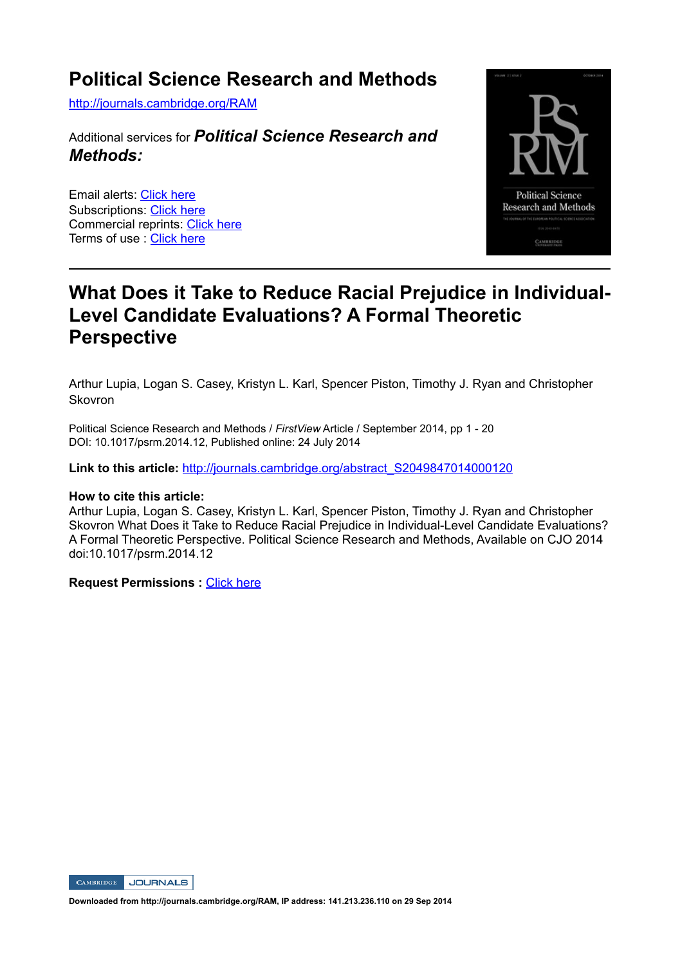# **Political Science Research and Methods**

http://journals.cambridge.org/RAM

Additional services for *Political Science Research and Methods:*

Email alerts: Click here Subscriptions: Click here Commercial reprints: Click here Terms of use : Click here



# **What Does it Take to Reduce Racial Prejudice in Individual-Level Candidate Evaluations? A Formal Theoretic Perspective**

Arthur Lupia, Logan S. Casey, Kristyn L. Karl, Spencer Piston, Timothy J. Ryan and Christopher Skovron

Political Science Research and Methods / *FirstView* Article / September 2014, pp 1 - 20 DOI: 10.1017/psrm.2014.12, Published online: 24 July 2014

**Link to this article:** http://journals.cambridge.org/abstract\_S2049847014000120

## **How to cite this article:**

Arthur Lupia, Logan S. Casey, Kristyn L. Karl, Spencer Piston, Timothy J. Ryan and Christopher Skovron What Does it Take to Reduce Racial Prejudice in Individual-Level Candidate Evaluations? A Formal Theoretic Perspective. Political Science Research and Methods, Available on CJO 2014 doi:10.1017/psrm.2014.12

**Request Permissions :** Click here

**CAMBRIDGE JOURNALS** 

**Downloaded from http://journals.cambridge.org/RAM, IP address: 141.213.236.110 on 29 Sep 2014**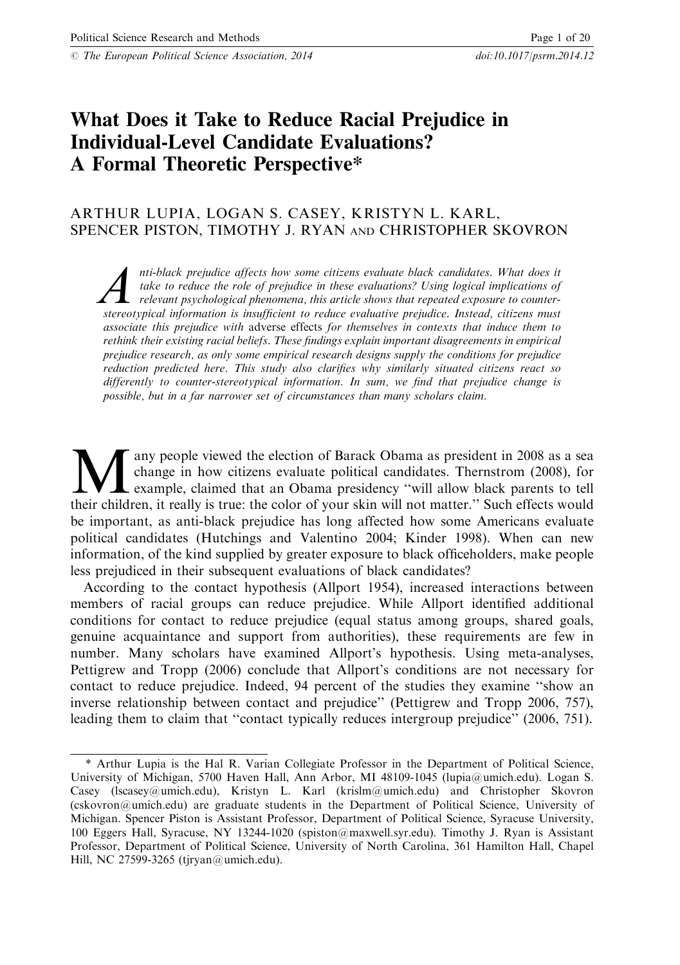© The European Political Science Association, 2014 doi:10.1017/psrm.2014.12

## What Does it Take to Reduce Racial Prejudice in Individual-Level Candidate Evaluations? A Formal Theoretic Perspective\*

## ARTHUR LUPIA, LOGAN S. CASEY, KRISTYN L. KARL, SPENCER PISTON, TIMOTHY J. RYAN AND CHRISTOPHER SKOVRON

nti-black prejudice affects how some citizens evaluate black candidates. What does it take to reduce the role of prejudice in these evaluations? Using logical implications of relevant psychological phenomena, this article take to reduce the role of prejudice in these evaluations? Using logical implications of stereotypical information is insufficient to reduce evaluative prejudice. Instead, citizens must associate this prejudice with adverse effects for themselves in contexts that induce them to rethink their existing racial beliefs. These findings explain important disagreements in empirical prejudice research, as only some empirical research designs supply the conditions for prejudice reduction predicted here. This study also clarifies why similarly situated citizens react so differently to counter-stereotypical information. In sum, we find that prejudice change is possible, but in a far narrower set of circumstances than many scholars claim.

**M** any people viewed the election of Barack Obama as president in 2008 as a sea<br>change in how citizens evaluate political candidates. Thernstrom (2008), for<br>their children it really is true; the color of your skin will no change in how citizens evaluate political candidates. Thernstrom (2008), for example, claimed that an Obama presidency ''will allow black parents to tell their children, it really is true: the color of your skin will not matter.'' Such effects would be important, as anti-black prejudice has long affected how some Americans evaluate political candidates (Hutchings and Valentino [2004](#page-19-0); Kinder [1998\)](#page-19-0). When can new information, of the kind supplied by greater exposure to black officeholders, make people less prejudiced in their subsequent evaluations of black candidates?

According to the contact hypothesis (Allport [1954\)](#page-18-0), increased interactions between members of racial groups can reduce prejudice. While Allport identified additional conditions for contact to reduce prejudice (equal status among groups, shared goals, genuine acquaintance and support from authorities), these requirements are few in number. Many scholars have examined Allport's hypothesis. Using meta-analyses, Pettigrew and Tropp ([2006\)](#page-19-0) conclude that Allport's conditions are not necessary for contact to reduce prejudice. Indeed, 94 percent of the studies they examine ''show an inverse relationship between contact and prejudice'' (Pettigrew and Tropp [2006,](#page-19-0) 757), leading them to claim that ''contact typically reduces intergroup prejudice'' (2006, 751).

<sup>\*</sup> Arthur Lupia is the Hal R. Varian Collegiate Professor in the Department of Political Science, University of Michigan, 5700 Haven Hall, Ann Arbor, MI 48109-1045 (lupia@umich.edu). Logan S. Casey (lscasey@umich.edu), Kristyn L. Karl (krislm@umich.edu) and Christopher Skovron (cskovron@umich.edu) are graduate students in the Department of Political Science, University of Michigan. Spencer Piston is Assistant Professor, Department of Political Science, Syracuse University, 100 Eggers Hall, Syracuse, NY 13244-1020 (spiston@maxwell.syr.edu). Timothy J. Ryan is Assistant Professor, Department of Political Science, University of North Carolina, 361 Hamilton Hall, Chapel Hill, NC 27599-3265 (tjryan@umich.edu).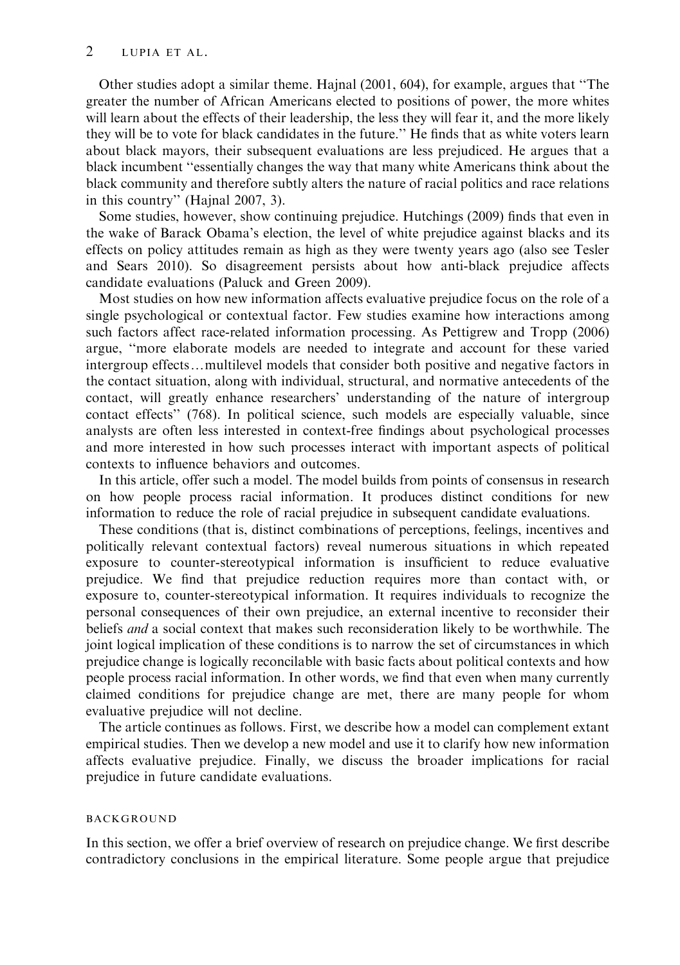Other studies adopt a similar theme. Hajnal ([2001,](#page-19-0) 604), for example, argues that ''The greater the number of African Americans elected to positions of power, the more whites will learn about the effects of their leadership, the less they will fear it, and the more likely they will be to vote for black candidates in the future.'' He finds that as white voters learn about black mayors, their subsequent evaluations are less prejudiced. He argues that a black incumbent ''essentially changes the way that many white Americans think about the black community and therefore subtly alters the nature of racial politics and race relations in this country'' (Hajnal [2007](#page-19-0), 3).

Some studies, however, show continuing prejudice. Hutchings [\(2009](#page-19-0)) finds that even in the wake of Barack Obama's election, the level of white prejudice against blacks and its effects on policy attitudes remain as high as they were twenty years ago (also see Tesler and Sears [2010\)](#page-20-0). So disagreement persists about how anti-black prejudice affects candidate evaluations (Paluck and Green [2009](#page-19-0)).

Most studies on how new information affects evaluative prejudice focus on the role of a single psychological or contextual factor. Few studies examine how interactions among such factors affect race-related information processing. As Pettigrew and Tropp ([2006\)](#page-19-0) argue, ''more elaborate models are needed to integrate and account for these varied intergroup effects...multilevel models that consider both positive and negative factors in the contact situation, along with individual, structural, and normative antecedents of the contact, will greatly enhance researchers' understanding of the nature of intergroup contact effects'' (768). In political science, such models are especially valuable, since analysts are often less interested in context-free findings about psychological processes and more interested in how such processes interact with important aspects of political contexts to influence behaviors and outcomes.

In this article, offer such a model. The model builds from points of consensus in research on how people process racial information. It produces distinct conditions for new information to reduce the role of racial prejudice in subsequent candidate evaluations.

These conditions (that is, distinct combinations of perceptions, feelings, incentives and politically relevant contextual factors) reveal numerous situations in which repeated exposure to counter-stereotypical information is insufficient to reduce evaluative prejudice. We find that prejudice reduction requires more than contact with, or exposure to, counter-stereotypical information. It requires individuals to recognize the personal consequences of their own prejudice, an external incentive to reconsider their beliefs *and* a social context that makes such reconsideration likely to be worthwhile. The joint logical implication of these conditions is to narrow the set of circumstances in which prejudice change is logically reconcilable with basic facts about political contexts and how people process racial information. In other words, we find that even when many currently claimed conditions for prejudice change are met, there are many people for whom evaluative prejudice will not decline.

The article continues as follows. First, we describe how a model can complement extant empirical studies. Then we develop a new model and use it to clarify how new information affects evaluative prejudice. Finally, we discuss the broader implications for racial prejudice in future candidate evaluations.

## BACKGROUND

In this section, we offer a brief overview of research on prejudice change. We first describe contradictory conclusions in the empirical literature. Some people argue that prejudice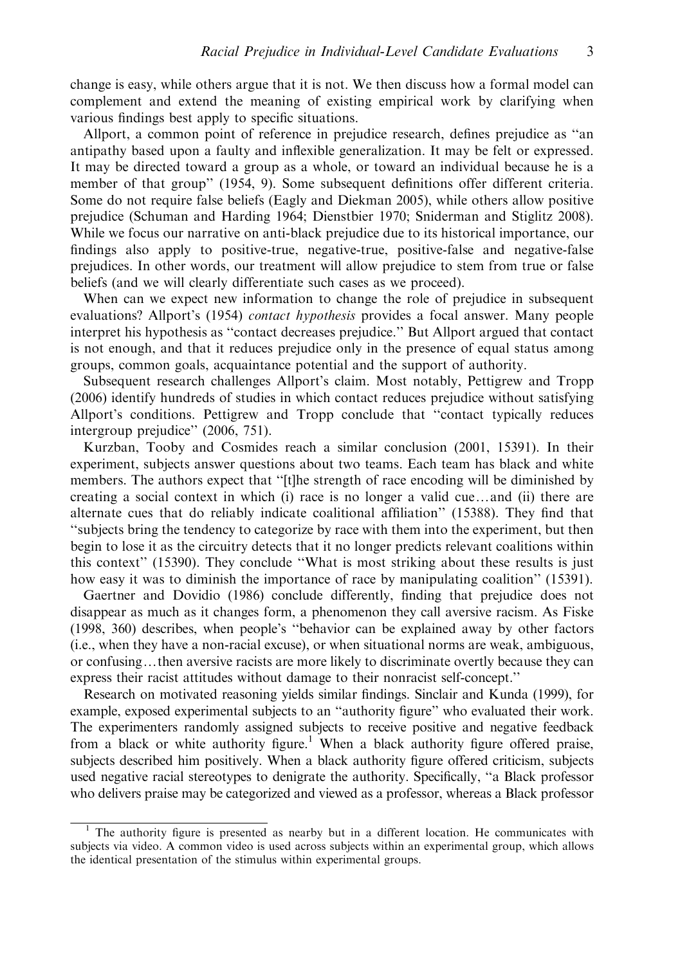change is easy, while others argue that it is not. We then discuss how a formal model can complement and extend the meaning of existing empirical work by clarifying when various findings best apply to specific situations.

Allport, a common point of reference in prejudice research, defines prejudice as ''an antipathy based upon a faulty and inflexible generalization. It may be felt or expressed. It may be directed toward a group as a whole, or toward an individual because he is a member of that group'' (1954, 9). Some subsequent definitions offer different criteria. Some do not require false beliefs (Eagly and Diekman [2005](#page-18-0)), while others allow positive prejudice (Schuman and Harding [1964](#page-20-0); Dienstbier [1970;](#page-18-0) Sniderman and Stiglitz [2008\)](#page-20-0). While we focus our narrative on anti-black prejudice due to its historical importance, our findings also apply to positive-true, negative-true, positive-false and negative-false prejudices. In other words, our treatment will allow prejudice to stem from true or false beliefs (and we will clearly differentiate such cases as we proceed).

When can we expect new information to change the role of prejudice in subsequent evaluations? Allport's (1954) *contact hypothesis* provides a focal answer. Many people interpret his hypothesis as ''contact decreases prejudice.'' But Allport argued that contact is not enough, and that it reduces prejudice only in the presence of equal status among groups, common goals, acquaintance potential and the support of authority.

Subsequent research challenges Allport's claim. Most notably, Pettigrew and Tropp [\(2006](#page-19-0)) identify hundreds of studies in which contact reduces prejudice without satisfying Allport's conditions. Pettigrew and Tropp conclude that ''contact typically reduces intergroup prejudice'' (2006, 751).

Kurzban, Tooby and Cosmides reach a similar conclusion ([2001,](#page-19-0) 15391). In their experiment, subjects answer questions about two teams. Each team has black and white members. The authors expect that ''[t]he strength of race encoding will be diminished by creating a social context in which (i) race is no longer a valid cue...and (ii) there are alternate cues that do reliably indicate coalitional affiliation'' (15388). They find that ''subjects bring the tendency to categorize by race with them into the experiment, but then begin to lose it as the circuitry detects that it no longer predicts relevant coalitions within this context'' (15390). They conclude ''What is most striking about these results is just how easy it was to diminish the importance of race by manipulating coalition'' (15391).

Gaertner and Dovidio ([1986](#page-19-0)) conclude differently, finding that prejudice does not disappear as much as it changes form, a phenomenon they call aversive racism. As Fiske [\(1998,](#page-18-0) 360) describes, when people's ''behavior can be explained away by other factors (i.e., when they have a non-racial excuse), or when situational norms are weak, ambiguous, or confusing... then aversive racists are more likely to discriminate overtly because they can express their racist attitudes without damage to their nonracist self-concept.''

Research on motivated reasoning yields similar findings. Sinclair and Kunda [\(1999](#page-20-0)), for example, exposed experimental subjects to an ''authority figure'' who evaluated their work. The experimenters randomly assigned subjects to receive positive and negative feedback from a black or white authority figure.<sup>1</sup> When a black authority figure offered praise, subjects described him positively. When a black authority figure offered criticism, subjects used negative racial stereotypes to denigrate the authority. Specifically, ''a Black professor who delivers praise may be categorized and viewed as a professor, whereas a Black professor

<sup>1</sup> The authority figure is presented as nearby but in a different location. He communicates with subjects via video. A common video is used across subjects within an experimental group, which allows the identical presentation of the stimulus within experimental groups.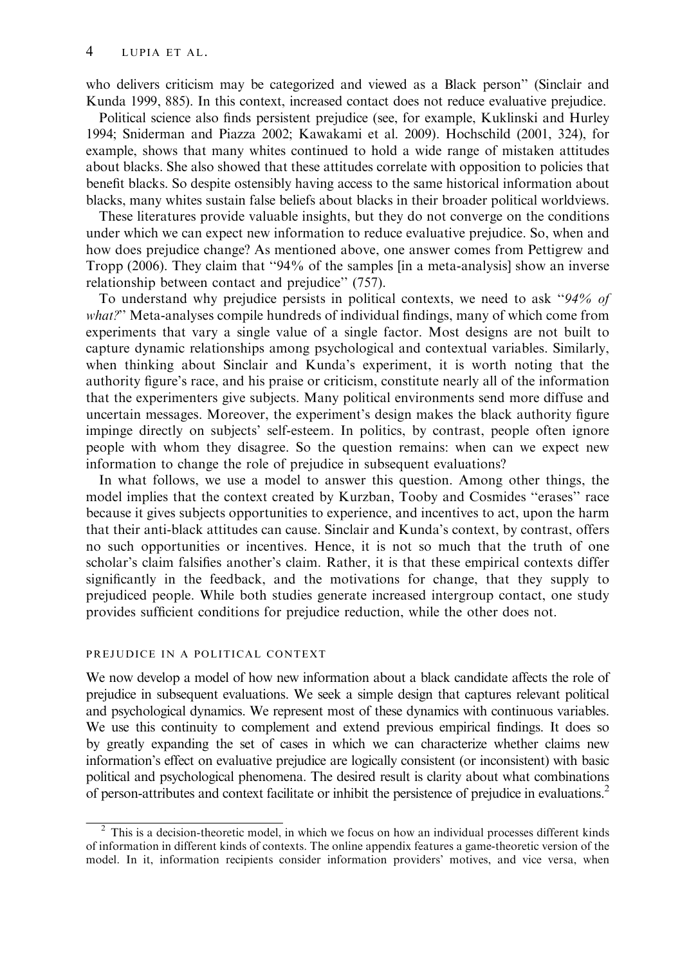who delivers criticism may be categorized and viewed as a Black person'' (Sinclair and Kunda [1999](#page-20-0), 885). In this context, increased contact does not reduce evaluative prejudice.

Political science also finds persistent prejudice (see, for example, Kuklinski and Hurley [1994;](#page-19-0) Sniderman and Piazza [2002;](#page-20-0) Kawakami et al. [2009](#page-19-0)). Hochschild [\(2001,](#page-19-0) 324), for example, shows that many whites continued to hold a wide range of mistaken attitudes about blacks. She also showed that these attitudes correlate with opposition to policies that benefit blacks. So despite ostensibly having access to the same historical information about blacks, many whites sustain false beliefs about blacks in their broader political worldviews.

These literatures provide valuable insights, but they do not converge on the conditions under which we can expect new information to reduce evaluative prejudice. So, when and how does prejudice change? As mentioned above, one answer comes from Pettigrew and Tropp ([2006\)](#page-19-0). They claim that ''94% of the samples [in a meta-analysis] show an inverse relationship between contact and prejudice'' (757).

To understand why prejudice persists in political contexts, we need to ask "94% of what?" Meta-analyses compile hundreds of individual findings, many of which come from experiments that vary a single value of a single factor. Most designs are not built to capture dynamic relationships among psychological and contextual variables. Similarly, when thinking about Sinclair and Kunda's experiment, it is worth noting that the authority figure's race, and his praise or criticism, constitute nearly all of the information that the experimenters give subjects. Many political environments send more diffuse and uncertain messages. Moreover, the experiment's design makes the black authority figure impinge directly on subjects' self-esteem. In politics, by contrast, people often ignore people with whom they disagree. So the question remains: when can we expect new information to change the role of prejudice in subsequent evaluations?

In what follows, we use a model to answer this question. Among other things, the model implies that the context created by Kurzban, Tooby and Cosmides ''erases'' race because it gives subjects opportunities to experience, and incentives to act, upon the harm that their anti-black attitudes can cause. Sinclair and Kunda's context, by contrast, offers no such opportunities or incentives. Hence, it is not so much that the truth of one scholar's claim falsifies another's claim. Rather, it is that these empirical contexts differ significantly in the feedback, and the motivations for change, that they supply to prejudiced people. While both studies generate increased intergroup contact, one study provides sufficient conditions for prejudice reduction, while the other does not.

### PREJUDICE IN A POLITICAL CONTEXT

We now develop a model of how new information about a black candidate affects the role of prejudice in subsequent evaluations. We seek a simple design that captures relevant political and psychological dynamics. We represent most of these dynamics with continuous variables. We use this continuity to complement and extend previous empirical findings. It does so by greatly expanding the set of cases in which we can characterize whether claims new information's effect on evaluative prejudice are logically consistent (or inconsistent) with basic political and psychological phenomena. The desired result is clarity about what combinations of person-attributes and context facilitate or inhibit the persistence of prejudice in evaluations.2

 $2$  This is a decision-theoretic model, in which we focus on how an individual processes different kinds of information in different kinds of contexts. The online appendix features a game-theoretic version of the model. In it, information recipients consider information providers' motives, and vice versa, when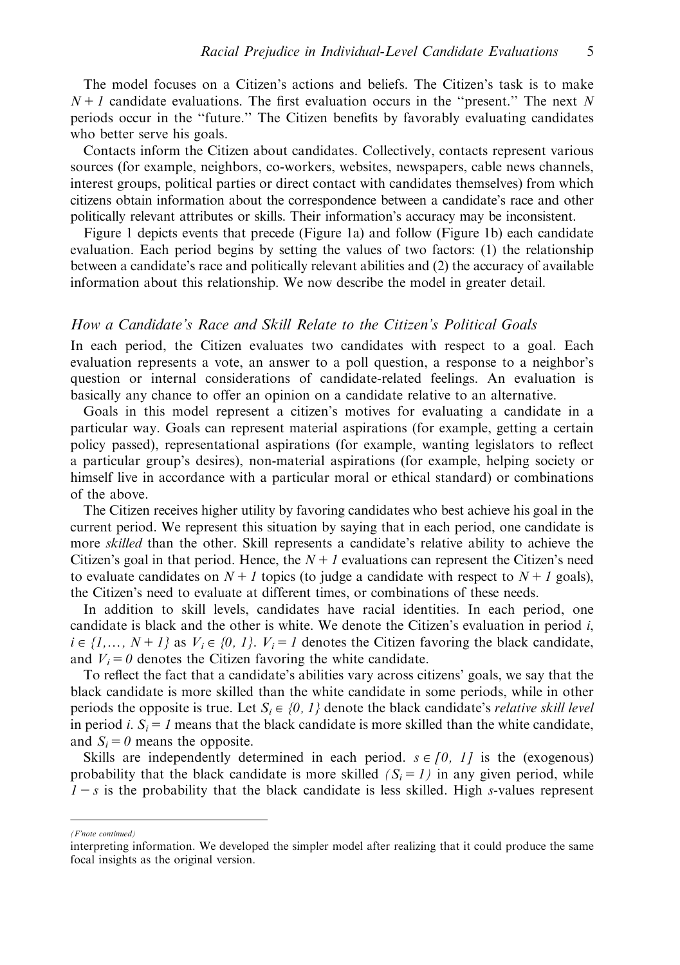The model focuses on a Citizen's actions and beliefs. The Citizen's task is to make  $N+1$  candidate evaluations. The first evaluation occurs in the "present." The next N periods occur in the ''future.'' The Citizen benefits by favorably evaluating candidates who better serve his goals.

Contacts inform the Citizen about candidates. Collectively, contacts represent various sources (for example, neighbors, co-workers, websites, newspapers, cable news channels, interest groups, political parties or direct contact with candidates themselves) from which citizens obtain information about the correspondence between a candidate's race and other politically relevant attributes or skills. Their information's accuracy may be inconsistent.

[Figure 1](#page-6-0) depicts events that precede [\(Figure 1a](#page-6-0)) and follow [\(Figure 1b](#page-6-0)) each candidate evaluation. Each period begins by setting the values of two factors: (1) the relationship between a candidate's race and politically relevant abilities and (2) the accuracy of available information about this relationship. We now describe the model in greater detail.

## How a Candidate's Race and Skill Relate to the Citizen's Political Goals

In each period, the Citizen evaluates two candidates with respect to a goal. Each evaluation represents a vote, an answer to a poll question, a response to a neighbor's question or internal considerations of candidate-related feelings. An evaluation is basically any chance to offer an opinion on a candidate relative to an alternative.

Goals in this model represent a citizen's motives for evaluating a candidate in a particular way. Goals can represent material aspirations (for example, getting a certain policy passed), representational aspirations (for example, wanting legislators to reflect a particular group's desires), non-material aspirations (for example, helping society or himself live in accordance with a particular moral or ethical standard) or combinations of the above.

The Citizen receives higher utility by favoring candidates who best achieve his goal in the current period. We represent this situation by saying that in each period, one candidate is more *skilled* than the other. Skill represents a candidate's relative ability to achieve the Citizen's goal in that period. Hence, the  $N + I$  evaluations can represent the Citizen's need to evaluate candidates on  $N + 1$  topics (to judge a candidate with respect to  $N + 1$  goals), the Citizen's need to evaluate at different times, or combinations of these needs.

In addition to skill levels, candidates have racial identities. In each period, one candidate is black and the other is white. We denote the Citizen's evaluation in period  $i$ ,  $i \in \{1,\ldots, N+1\}$  as  $V_i \in \{0, 1\}$ .  $V_i = 1$  denotes the Citizen favoring the black candidate, and  $V_i = 0$  denotes the Citizen favoring the white candidate.

To reflect the fact that a candidate's abilities vary across citizens' goals, we say that the black candidate is more skilled than the white candidate in some periods, while in other periods the opposite is true. Let  $S_i \in \{0, 1\}$  denote the black candidate's *relative skill level* in period *i*.  $S_i = I$  means that the black candidate is more skilled than the white candidate, and  $S_i = 0$  means the opposite.

Skills are independently determined in each period.  $s \in [0, 1]$  is the (exogenous) probability that the black candidate is more skilled  $(S<sub>i</sub> = 1)$  in any given period, while  $1 - s$  is the probability that the black candidate is less skilled. High s-values represent

<sup>(</sup>F'note continued)

interpreting information. We developed the simpler model after realizing that it could produce the same focal insights as the original version.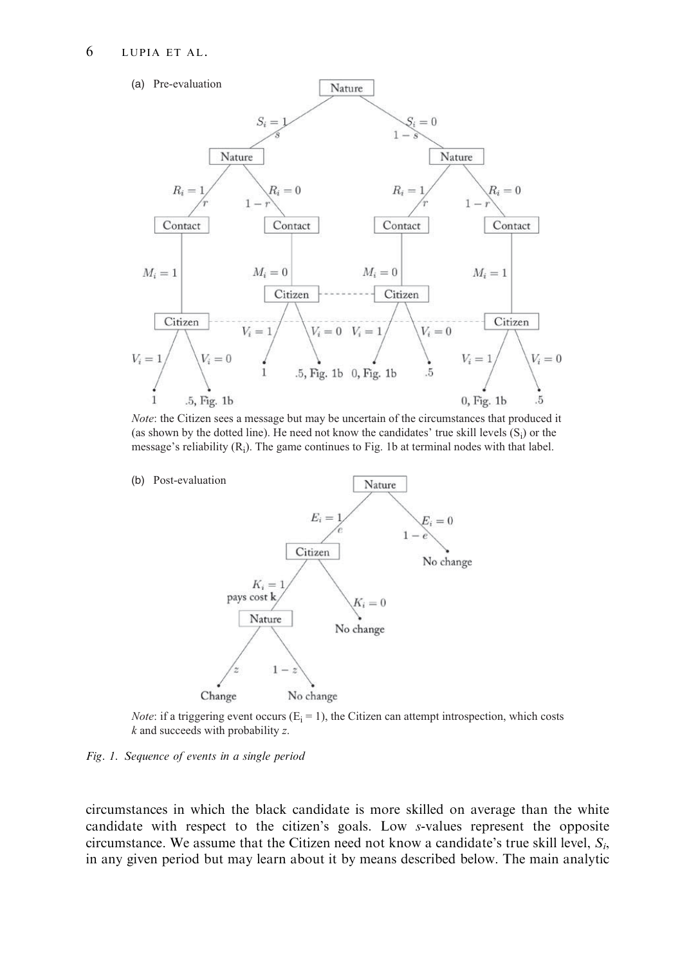<span id="page-6-0"></span>

*Note*: the Citizen sees a message but may be uncertain of the circumstances that produced it (as shown by the dotted line). He need not know the candidates' true skill levels  $(S_i)$  or the message's reliability  $(R_i)$ . The game continues to Fig. 1b at terminal nodes with that label.



*Note*: if a triggering event occurs  $(E_i = 1)$ , the Citizen can attempt introspection, which costs *k* and succeeds with probability *z*.

Fig. 1. Sequence of events in a single period

circumstances in which the black candidate is more skilled on average than the white candidate with respect to the citizen's goals. Low s-values represent the opposite circumstance. We assume that the Citizen need not know a candidate's true skill level,  $S_i$ , in any given period but may learn about it by means described below. The main analytic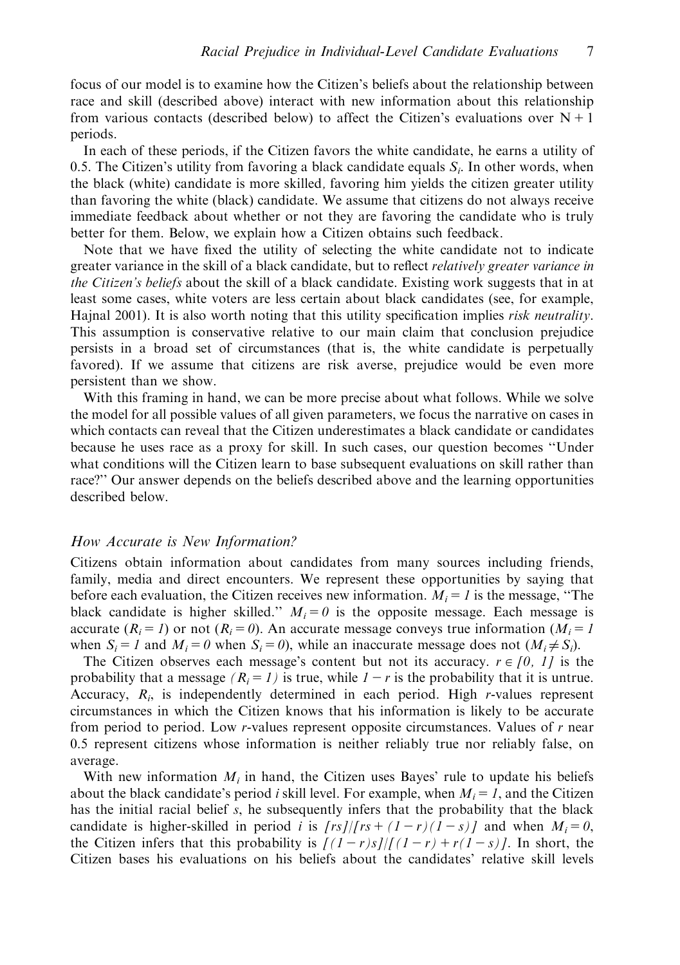focus of our model is to examine how the Citizen's beliefs about the relationship between race and skill (described above) interact with new information about this relationship from various contacts (described below) to affect the Citizen's evaluations over  $N + 1$ periods.

In each of these periods, if the Citizen favors the white candidate, he earns a utility of 0.5. The Citizen's utility from favoring a black candidate equals  $S_i$ . In other words, when the black (white) candidate is more skilled, favoring him yields the citizen greater utility than favoring the white (black) candidate. We assume that citizens do not always receive immediate feedback about whether or not they are favoring the candidate who is truly better for them. Below, we explain how a Citizen obtains such feedback.

Note that we have fixed the utility of selecting the white candidate not to indicate greater variance in the skill of a black candidate, but to reflect *relatively greater variance in* the Citizen's beliefs about the skill of a black candidate. Existing work suggests that in at least some cases, white voters are less certain about black candidates (see, for example, Hajnal [2001](#page-19-0)). It is also worth noting that this utility specification implies risk neutrality. This assumption is conservative relative to our main claim that conclusion prejudice persists in a broad set of circumstances (that is, the white candidate is perpetually favored). If we assume that citizens are risk averse, prejudice would be even more persistent than we show.

With this framing in hand, we can be more precise about what follows. While we solve the model for all possible values of all given parameters, we focus the narrative on cases in which contacts can reveal that the Citizen underestimates a black candidate or candidates because he uses race as a proxy for skill. In such cases, our question becomes ''Under what conditions will the Citizen learn to base subsequent evaluations on skill rather than race?'' Our answer depends on the beliefs described above and the learning opportunities described below.

## How Accurate is New Information?

Citizens obtain information about candidates from many sources including friends, family, media and direct encounters. We represent these opportunities by saying that before each evaluation, the Citizen receives new information.  $M_i = 1$  is the message, "The black candidate is higher skilled."  $M_i = 0$  is the opposite message. Each message is accurate  $(R<sub>i</sub> = 1)$  or not  $(R<sub>i</sub> = 0)$ . An accurate message conveys true information  $(M<sub>i</sub> = 1)$ when  $S_i = I$  and  $M_i = 0$  when  $S_i = 0$ ), while an inaccurate message does not  $(M_i \neq S_i)$ .

The Citizen observes each message's content but not its accuracy.  $r \in [0, 1]$  is the probability that a message  $(R_i = 1)$  is true, while  $1 - r$  is the probability that it is untrue. Accuracy,  $R_i$ , is independently determined in each period. High r-values represent circumstances in which the Citizen knows that his information is likely to be accurate from period to period. Low  $r$ -values represent opposite circumstances. Values of  $r$  near 0.5 represent citizens whose information is neither reliably true nor reliably false, on average.

With new information  $M_i$  in hand, the Citizen uses Bayes' rule to update his beliefs about the black candidate's period *i* skill level. For example, when  $M_i = 1$ , and the Citizen has the initial racial belief s, he subsequently infers that the probability that the black candidate is higher-skilled in period *i* is  $[rs]/[rs + (1 - r)(1 - s)]$  and when  $M<sub>i</sub> = 0$ , the Citizen infers that this probability is  $\frac{\int (1 - r)s}{\int (1 - r) + r(1 - s)}$ . In short, the Citizen bases his evaluations on his beliefs about the candidates' relative skill levels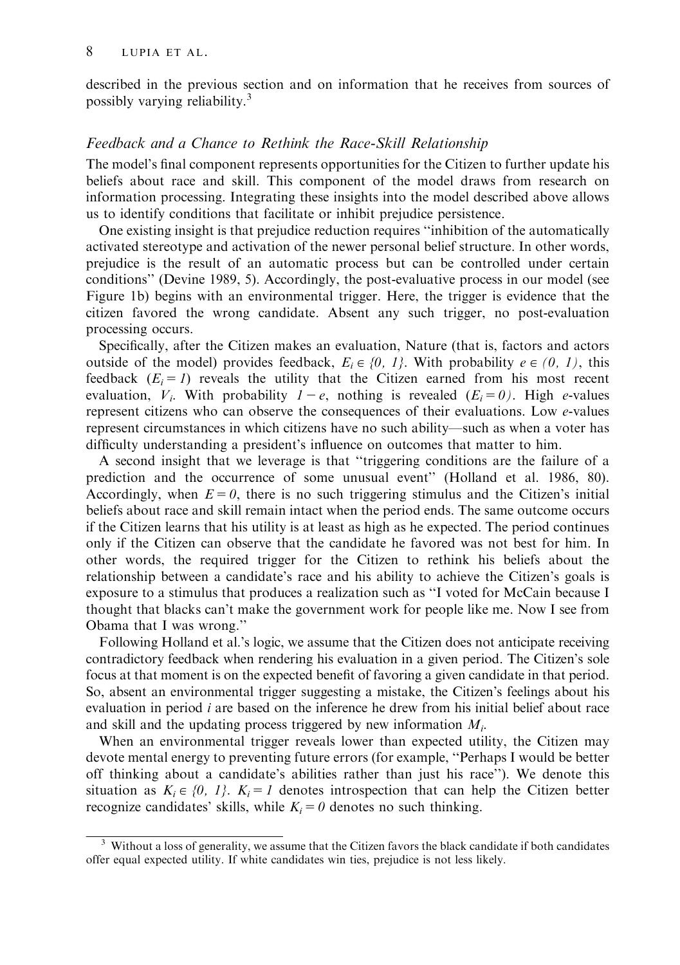described in the previous section and on information that he receives from sources of possibly varying reliability.<sup>3</sup>

## Feedback and a Chance to Rethink the Race-Skill Relationship

The model's final component represents opportunities for the Citizen to further update his beliefs about race and skill. This component of the model draws from research on information processing. Integrating these insights into the model described above allows us to identify conditions that facilitate or inhibit prejudice persistence.

One existing insight is that prejudice reduction requires ''inhibition of the automatically activated stereotype and activation of the newer personal belief structure. In other words, prejudice is the result of an automatic process but can be controlled under certain conditions'' (Devine [1989,](#page-18-0) 5). Accordingly, the post-evaluative process in our model (see [Figure 1b\)](#page-6-0) begins with an environmental trigger. Here, the trigger is evidence that the citizen favored the wrong candidate. Absent any such trigger, no post-evaluation processing occurs.

Specifically, after the Citizen makes an evaluation, Nature (that is, factors and actors outside of the model) provides feedback,  $E_i \in \{0, 1\}$ . With probability  $e \in (0, 1)$ , this feedback  $(E_i = 1)$  reveals the utility that the Citizen earned from his most recent evaluation,  $V_i$ . With probability  $1 - e$ , nothing is revealed  $(E_i = 0)$ . High e-values represent citizens who can observe the consequences of their evaluations. Low  $e$ -values represent circumstances in which citizens have no such ability—such as when a voter has difficulty understanding a president's influence on outcomes that matter to him.

A second insight that we leverage is that ''triggering conditions are the failure of a prediction and the occurrence of some unusual event'' (Holland et al. [1986](#page-19-0), 80). Accordingly, when  $E = 0$ , there is no such triggering stimulus and the Citizen's initial beliefs about race and skill remain intact when the period ends. The same outcome occurs if the Citizen learns that his utility is at least as high as he expected. The period continues only if the Citizen can observe that the candidate he favored was not best for him. In other words, the required trigger for the Citizen to rethink his beliefs about the relationship between a candidate's race and his ability to achieve the Citizen's goals is exposure to a stimulus that produces a realization such as ''I voted for McCain because I thought that blacks can't make the government work for people like me. Now I see from Obama that I was wrong.''

Following Holland et al.'s logic, we assume that the Citizen does not anticipate receiving contradictory feedback when rendering his evaluation in a given period. The Citizen's sole focus at that moment is on the expected benefit of favoring a given candidate in that period. So, absent an environmental trigger suggesting a mistake, the Citizen's feelings about his evaluation in period i are based on the inference he drew from his initial belief about race and skill and the updating process triggered by new information  $M_i$ .

When an environmental trigger reveals lower than expected utility, the Citizen may devote mental energy to preventing future errors (for example, ''Perhaps I would be better off thinking about a candidate's abilities rather than just his race''). We denote this situation as  $K_i \in \{0, 1\}$ .  $K_i = 1$  denotes introspection that can help the Citizen better recognize candidates' skills, while  $K_i = 0$  denotes no such thinking.

<sup>&</sup>lt;sup>3</sup> Without a loss of generality, we assume that the Citizen favors the black candidate if both candidates offer equal expected utility. If white candidates win ties, prejudice is not less likely.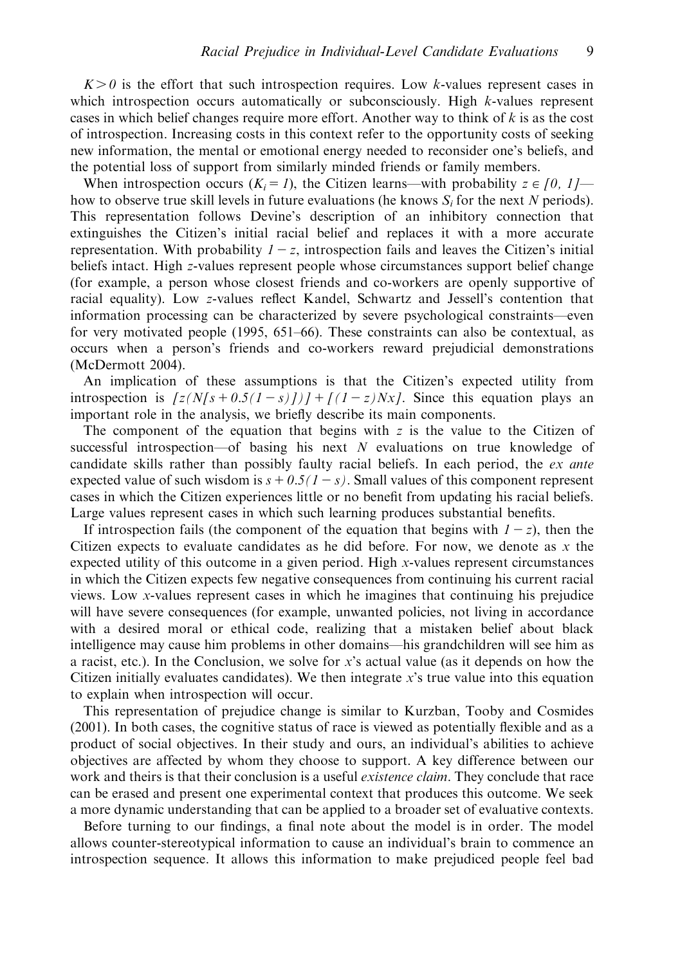$K > 0$  is the effort that such introspection requires. Low k-values represent cases in which introspection occurs automatically or subconsciously. High k-values represent cases in which belief changes require more effort. Another way to think of  $k$  is as the cost of introspection. Increasing costs in this context refer to the opportunity costs of seeking new information, the mental or emotional energy needed to reconsider one's beliefs, and the potential loss of support from similarly minded friends or family members.

When introspection occurs  $(K_i = 1)$ , the Citizen learns—with probability  $z \in [0, 1]$  how to observe true skill levels in future evaluations (he knows  $S_i$  for the next N periods). This representation follows Devine's description of an inhibitory connection that extinguishes the Citizen's initial racial belief and replaces it with a more accurate representation. With probability  $1 - z$ , introspection fails and leaves the Citizen's initial beliefs intact. High z-values represent people whose circumstances support belief change (for example, a person whose closest friends and co-workers are openly supportive of racial equality). Low z-values reflect Kandel, Schwartz and Jessell's contention that information processing can be characterized by severe psychological constraints—even for very motivated people ([1995,](#page-19-0) 651–66). These constraints can also be contextual, as occurs when a person's friends and co-workers reward prejudicial demonstrations (McDermott [2004\)](#page-19-0).

An implication of these assumptions is that the Citizen's expected utility from introspection is  $[z(N[s+0.5(1-s)])] + [(1-z)Nx]$ . Since this equation plays an important role in the analysis, we briefly describe its main components.

The component of the equation that begins with  $z$  is the value to the Citizen of successful introspection—of basing his next  $N$  evaluations on true knowledge of candidate skills rather than possibly faulty racial beliefs. In each period, the ex ante expected value of such wisdom is  $s + 0.5(1 - s)$ . Small values of this component represent cases in which the Citizen experiences little or no benefit from updating his racial beliefs. Large values represent cases in which such learning produces substantial benefits.

If introspection fails (the component of the equation that begins with  $1 - z$ ), then the Citizen expects to evaluate candidates as he did before. For now, we denote as  $x$  the expected utility of this outcome in a given period. High x-values represent circumstances in which the Citizen expects few negative consequences from continuing his current racial views. Low x-values represent cases in which he imagines that continuing his prejudice will have severe consequences (for example, unwanted policies, not living in accordance with a desired moral or ethical code, realizing that a mistaken belief about black intelligence may cause him problems in other domains—his grandchildren will see him as a racist, etc.). In the Conclusion, we solve for x's actual value (as it depends on how the Citizen initially evaluates candidates). We then integrate  $x$ 's true value into this equation to explain when introspection will occur.

This representation of prejudice change is similar to Kurzban, Tooby and Cosmides [\(2001](#page-19-0)). In both cases, the cognitive status of race is viewed as potentially flexible and as a product of social objectives. In their study and ours, an individual's abilities to achieve objectives are affected by whom they choose to support. A key difference between our work and theirs is that their conclusion is a useful *existence claim*. They conclude that race can be erased and present one experimental context that produces this outcome. We seek a more dynamic understanding that can be applied to a broader set of evaluative contexts.

Before turning to our findings, a final note about the model is in order. The model allows counter-stereotypical information to cause an individual's brain to commence an introspection sequence. It allows this information to make prejudiced people feel bad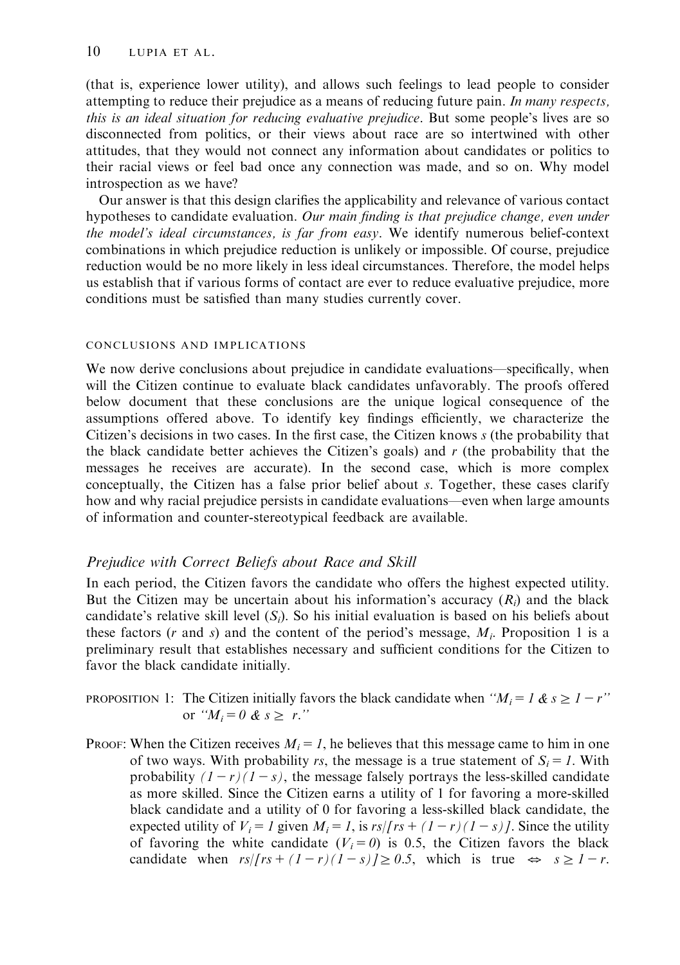(that is, experience lower utility), and allows such feelings to lead people to consider attempting to reduce their prejudice as a means of reducing future pain. In many respects, this is an ideal situation for reducing evaluative prejudice. But some people's lives are so disconnected from politics, or their views about race are so intertwined with other attitudes, that they would not connect any information about candidates or politics to their racial views or feel bad once any connection was made, and so on. Why model introspection as we have?

Our answer is that this design clarifies the applicability and relevance of various contact hypotheses to candidate evaluation. Our main finding is that prejudice change, even under the model's ideal circumstances, is far from easy. We identify numerous belief-context combinations in which prejudice reduction is unlikely or impossible. Of course, prejudice reduction would be no more likely in less ideal circumstances. Therefore, the model helps us establish that if various forms of contact are ever to reduce evaluative prejudice, more conditions must be satisfied than many studies currently cover.

## CONCLUSIONS AND IMPLICATIONS

We now derive conclusions about prejudice in candidate evaluations—specifically, when will the Citizen continue to evaluate black candidates unfavorably. The proofs offered below document that these conclusions are the unique logical consequence of the assumptions offered above. To identify key findings efficiently, we characterize the Citizen's decisions in two cases. In the first case, the Citizen knows  $s$  (the probability that the black candidate better achieves the Citizen's goals) and  $r$  (the probability that the messages he receives are accurate). In the second case, which is more complex conceptually, the Citizen has a false prior belief about s. Together, these cases clarify how and why racial prejudice persists in candidate evaluations—even when large amounts of information and counter-stereotypical feedback are available.

## Prejudice with Correct Beliefs about Race and Skill

In each period, the Citizen favors the candidate who offers the highest expected utility. But the Citizen may be uncertain about his information's accuracy  $(R_i)$  and the black candidate's relative skill level  $(S_i)$ . So his initial evaluation is based on his beliefs about these factors (r and s) and the content of the period's message,  $M_i$ . Proposition 1 is a preliminary result that establishes necessary and sufficient conditions for the Citizen to favor the black candidate initially.

- PROPOSITION 1: The Citizen initially favors the black candidate when " $M_i = 1 \& s \ge 1 r$ " or " $M_i = 0$  &  $s \geq r$ ."
- Proof: When the Citizen receives  $M_i = 1$ , he believes that this message came to him in one of two ways. With probability rs, the message is a true statement of  $S_i = 1$ . With probability  $(1 - r)(1 - s)$ , the message falsely portrays the less-skilled candidate as more skilled. Since the Citizen earns a utility of 1 for favoring a more-skilled black candidate and a utility of 0 for favoring a less-skilled black candidate, the expected utility of  $V_i = 1$  given  $M_i = 1$ , is  $rs/[rs + (1 - r)(1 - s)]$ . Since the utility of favoring the white candidate ( $V_i = 0$ ) is 0.5, the Citizen favors the black candidate when  $rs/(rs + (1 - r)(1 - s)) \ge 0.5$ , which is true  $\Leftrightarrow s \ge 1 - r$ .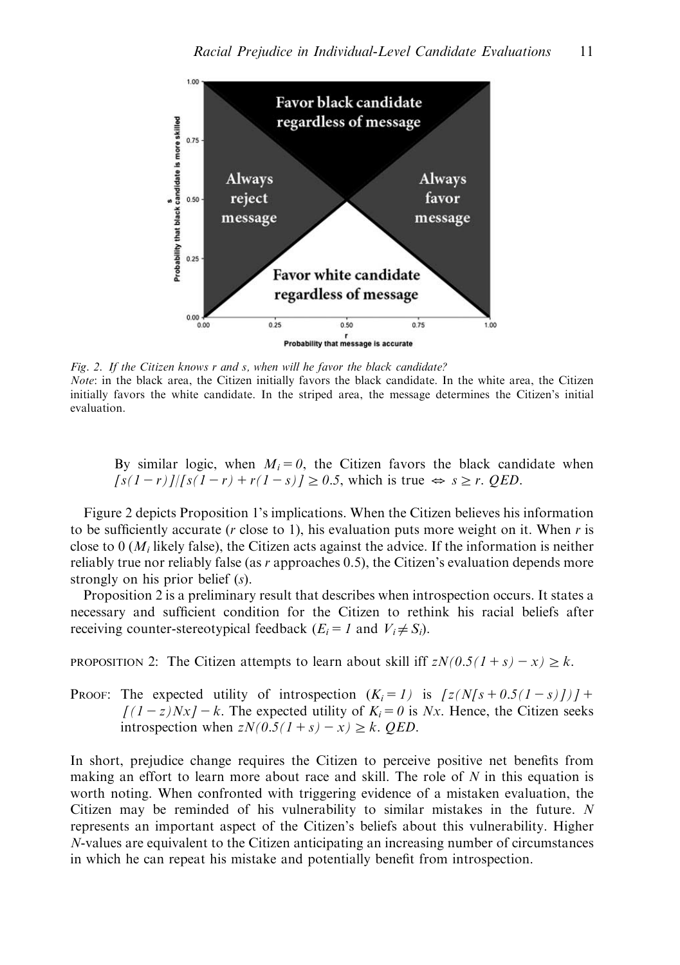<span id="page-11-0"></span>

Fig. 2. If the Citizen knows r and s, when will he favor the black candidate? Note: in the black area, the Citizen initially favors the black candidate. In the white area, the Citizen initially favors the white candidate. In the striped area, the message determines the Citizen's initial evaluation.

By similar logic, when  $M_i = 0$ , the Citizen favors the black candidate when  $[s(1 - r)]/[s(1 - r) + r(1 - s)] \ge 0.5$ , which is true  $\Leftrightarrow$   $s \ge r$ . *QED*.

Figure 2 depicts Proposition 1's implications. When the Citizen believes his information to be sufficiently accurate  $(r \text{ close to } 1)$ , his evaluation puts more weight on it. When  $r$  is close to  $0 \, (M_i)$  likely false), the Citizen acts against the advice. If the information is neither reliably true nor reliably false (as  $r$  approaches 0.5), the Citizen's evaluation depends more strongly on his prior belief (s).

Proposition 2 is a preliminary result that describes when introspection occurs. It states a necessary and sufficient condition for the Citizen to rethink his racial beliefs after receiving counter-stereotypical feedback  $(E_i = 1 \text{ and } V_i \neq S_i)$ .

PROPOSITION 2: The Citizen attempts to learn about skill iff  $zN(0.5(1 + s) - x) \ge k$ .

**PROOF:** The expected utility of introspection  $(K_i = 1)$  is  $[z(N[s + 0.5(1 - s)])/] +$  $[(1 - z)Nx] - k$ . The expected utility of  $K_i = 0$  is Nx. Hence, the Citizen seeks introspection when  $zN(0.5(1 + s) - x) \ge k$ . *QED*.

In short, prejudice change requires the Citizen to perceive positive net benefits from making an effort to learn more about race and skill. The role of  $N$  in this equation is worth noting. When confronted with triggering evidence of a mistaken evaluation, the Citizen may be reminded of his vulnerability to similar mistakes in the future.  $N$ represents an important aspect of the Citizen's beliefs about this vulnerability. Higher N-values are equivalent to the Citizen anticipating an increasing number of circumstances in which he can repeat his mistake and potentially benefit from introspection.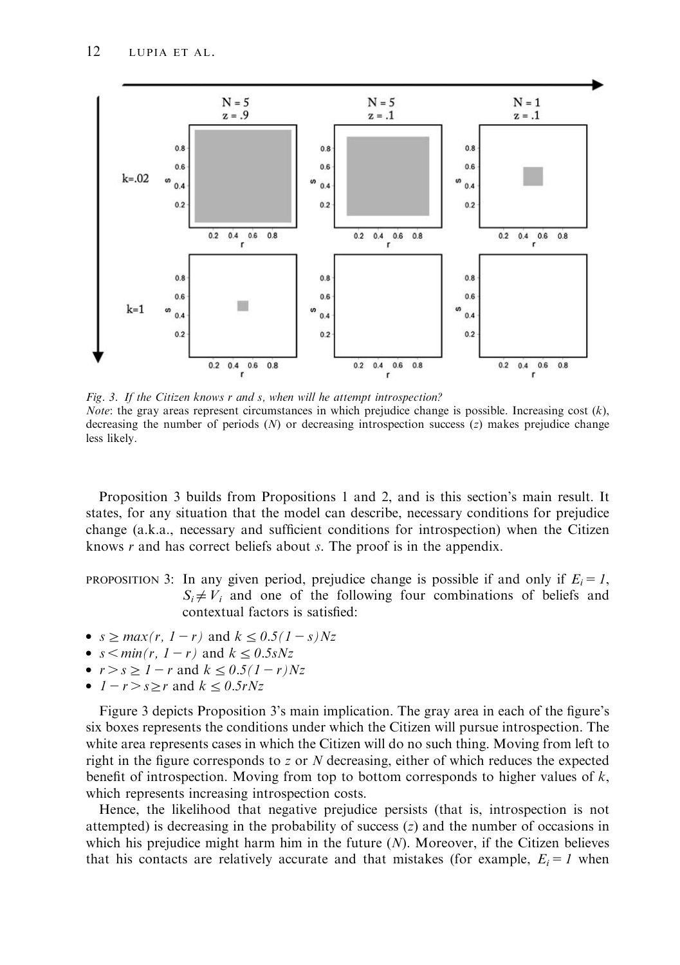<span id="page-12-0"></span>

Fig. 3. If the Citizen knows r and s, when will he attempt introspection? *Note:* the gray areas represent circumstances in which prejudice change is possible. Increasing cost  $(k)$ , decreasing the number of periods  $(N)$  or decreasing introspection success  $(z)$  makes prejudice change less likely.

Proposition 3 builds from Propositions 1 and 2, and is this section's main result. It states, for any situation that the model can describe, necessary conditions for prejudice change (a.k.a., necessary and sufficient conditions for introspection) when the Citizen knows r and has correct beliefs about s. The proof is in the appendix.

PROPOSITION 3: In any given period, prejudice change is possible if and only if  $E_i = 1$ ,  $S_i \neq V_i$  and one of the following four combinations of beliefs and contextual factors is satisfied:

- $s \ge max(r, 1 r)$  and  $k \le 0.5(1 s)Nz$
- $s < min(r, 1 r)$  and  $k \le 0.5sNz$
- $r > s \ge 1 r$  and  $k \le 0.5(1 r)Nz$
- $1 r > s \geq r$  and  $k \leq 0.5rNz$

Figure 3 depicts Proposition 3's main implication. The gray area in each of the figure's six boxes represents the conditions under which the Citizen will pursue introspection. The white area represents cases in which the Citizen will do no such thing. Moving from left to right in the figure corresponds to  $z$  or  $N$  decreasing, either of which reduces the expected benefit of introspection. Moving from top to bottom corresponds to higher values of  $k$ , which represents increasing introspection costs.

Hence, the likelihood that negative prejudice persists (that is, introspection is not attempted) is decreasing in the probability of success  $(z)$  and the number of occasions in which his prejudice might harm him in the future  $(N)$ . Moreover, if the Citizen believes that his contacts are relatively accurate and that mistakes (for example,  $E_i = I$  when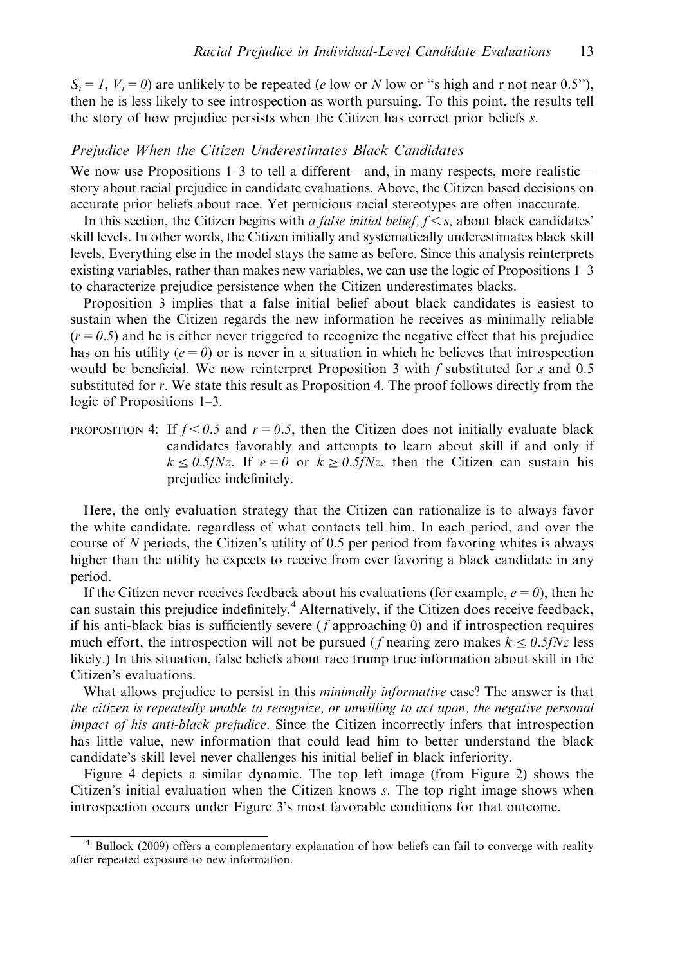$S_i = I$ ,  $V_i = 0$ ) are unlikely to be repeated (e low or N low or "s high and r not near 0.5"), then he is less likely to see introspection as worth pursuing. To this point, the results tell the story of how prejudice persists when the Citizen has correct prior beliefs s.

## Prejudice When the Citizen Underestimates Black Candidates

We now use Propositions 1–3 to tell a different—and, in many respects, more realistic story about racial prejudice in candidate evaluations. Above, the Citizen based decisions on accurate prior beliefs about race. Yet pernicious racial stereotypes are often inaccurate.

In this section, the Citizen begins with a false initial belief,  $f \leq s$ , about black candidates' skill levels. In other words, the Citizen initially and systematically underestimates black skill levels. Everything else in the model stays the same as before. Since this analysis reinterprets existing variables, rather than makes new variables, we can use the logic of Propositions 1–3 to characterize prejudice persistence when the Citizen underestimates blacks.

Proposition 3 implies that a false initial belief about black candidates is easiest to sustain when the Citizen regards the new information he receives as minimally reliable  $(r = 0.5)$  and he is either never triggered to recognize the negative effect that his prejudice has on his utility ( $e = 0$ ) or is never in a situation in which he believes that introspection would be beneficial. We now reinterpret Proposition 3 with  $f$  substituted for  $s$  and 0.5 substituted for r. We state this result as Proposition 4. The proof follows directly from the logic of Propositions 1–3.

PROPOSITION 4: If  $f < 0.5$  and  $r = 0.5$ , then the Citizen does not initially evaluate black candidates favorably and attempts to learn about skill if and only if  $k \le 0.5fNz$ . If  $e = 0$  or  $k \ge 0.5fNz$ , then the Citizen can sustain his prejudice indefinitely.

Here, the only evaluation strategy that the Citizen can rationalize is to always favor the white candidate, regardless of what contacts tell him. In each period, and over the course of N periods, the Citizen's utility of 0.5 per period from favoring whites is always higher than the utility he expects to receive from ever favoring a black candidate in any period.

If the Citizen never receives feedback about his evaluations (for example,  $e = 0$ ), then he can sustain this prejudice indefinitely.<sup>4</sup> Alternatively, if the Citizen does receive feedback, if his anti-black bias is sufficiently severe  $(f$  approaching  $0$ ) and if introspection requires much effort, the introspection will not be pursued (*f* nearing zero makes  $k \le 0.5fNz$  less likely.) In this situation, false beliefs about race trump true information about skill in the Citizen's evaluations.

What allows prejudice to persist in this *minimally informative* case? The answer is that the citizen is repeatedly unable to recognize, or unwilling to act upon, the negative personal impact of his anti-black prejudice. Since the Citizen incorrectly infers that introspection has little value, new information that could lead him to better understand the black candidate's skill level never challenges his initial belief in black inferiority.

[Figure 4](#page-14-0) depicts a similar dynamic. The top left image (from [Figure 2](#page-11-0)) shows the Citizen's initial evaluation when the Citizen knows s. The top right image shows when introspection occurs under [Figure 3'](#page-12-0)s most favorable conditions for that outcome.

<sup>&</sup>lt;sup>4</sup> Bullock ([2009\)](#page-18-0) offers a complementary explanation of how beliefs can fail to converge with reality after repeated exposure to new information.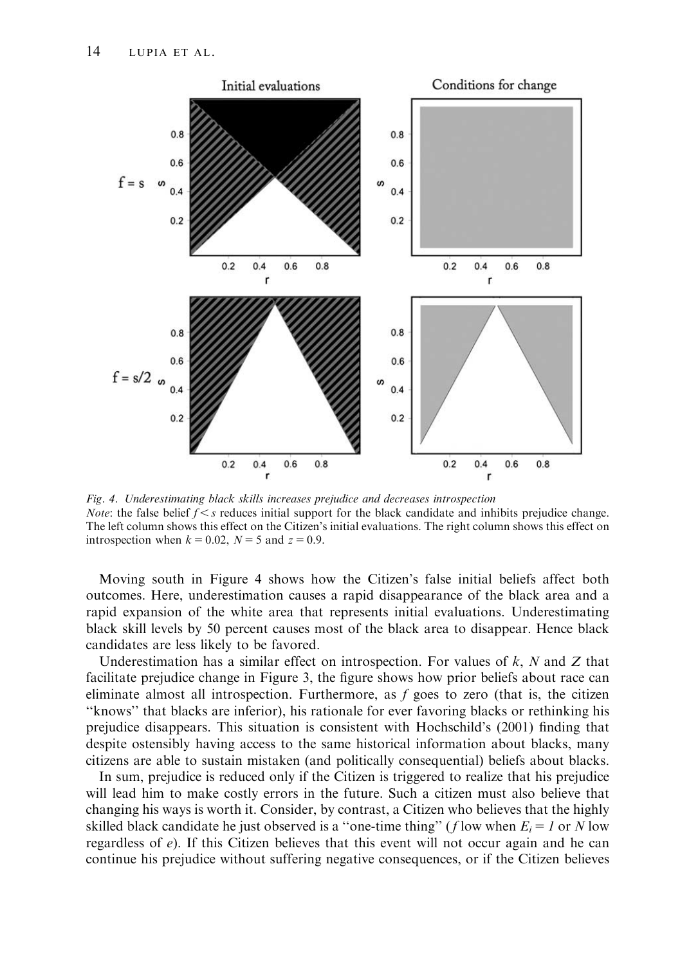<span id="page-14-0"></span>

Fig. 4. Underestimating black skills increases prejudice and decreases introspection *Note:* the false belief  $f < s$  reduces initial support for the black candidate and inhibits prejudice change. The left column shows this effect on the Citizen's initial evaluations. The right column shows this effect on introspection when  $k = 0.02$ ,  $N = 5$  and  $z = 0.9$ .

Moving south in Figure 4 shows how the Citizen's false initial beliefs affect both outcomes. Here, underestimation causes a rapid disappearance of the black area and a rapid expansion of the white area that represents initial evaluations. Underestimating black skill levels by 50 percent causes most of the black area to disappear. Hence black candidates are less likely to be favored.

Underestimation has a similar effect on introspection. For values of  $k$ , N and Z that facilitate prejudice change in [Figure 3,](#page-12-0) the figure shows how prior beliefs about race can eliminate almost all introspection. Furthermore, as  $f$  goes to zero (that is, the citizen ''knows'' that blacks are inferior), his rationale for ever favoring blacks or rethinking his prejudice disappears. This situation is consistent with Hochschild's (2001) finding that despite ostensibly having access to the same historical information about blacks, many citizens are able to sustain mistaken (and politically consequential) beliefs about blacks.

In sum, prejudice is reduced only if the Citizen is triggered to realize that his prejudice will lead him to make costly errors in the future. Such a citizen must also believe that changing his ways is worth it. Consider, by contrast, a Citizen who believes that the highly skilled black candidate he just observed is a "one-time thing" ( $f$  low when  $E_i = 1$  or N low regardless of  $e$ ). If this Citizen believes that this event will not occur again and he can continue his prejudice without suffering negative consequences, or if the Citizen believes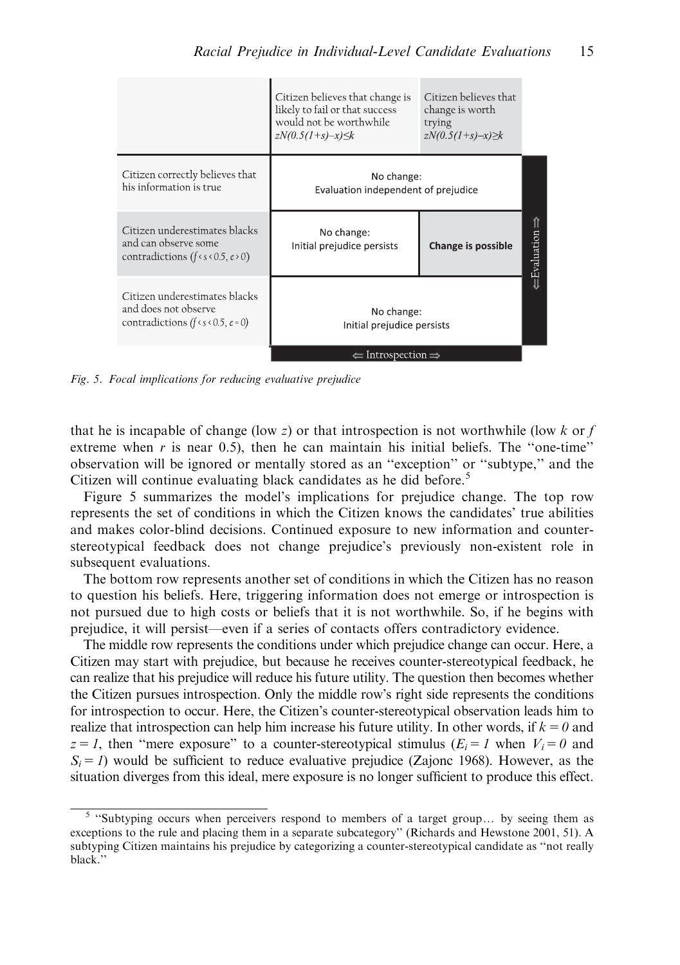<span id="page-15-0"></span>

Fig. 5. Focal implications for reducing evaluative prejudice

that he is incapable of change (low z) or that introspection is not worthwhile (low k or f extreme when r is near  $0.5$ ), then he can maintain his initial beliefs. The "one-time" observation will be ignored or mentally stored as an ''exception'' or ''subtype,'' and the Citizen will continue evaluating black candidates as he did before.<sup>5</sup>

Figure 5 summarizes the model's implications for prejudice change. The top row represents the set of conditions in which the Citizen knows the candidates' true abilities and makes color-blind decisions. Continued exposure to new information and counterstereotypical feedback does not change prejudice's previously non-existent role in subsequent evaluations.

The bottom row represents another set of conditions in which the Citizen has no reason to question his beliefs. Here, triggering information does not emerge or introspection is not pursued due to high costs or beliefs that it is not worthwhile. So, if he begins with prejudice, it will persist—even if a series of contacts offers contradictory evidence.

The middle row represents the conditions under which prejudice change can occur. Here, a Citizen may start with prejudice, but because he receives counter-stereotypical feedback, he can realize that his prejudice will reduce his future utility. The question then becomes whether the Citizen pursues introspection. Only the middle row's right side represents the conditions for introspection to occur. Here, the Citizen's counter-stereotypical observation leads him to realize that introspection can help him increase his future utility. In other words, if  $k = 0$  and  $z = 1$ , then "mere exposure" to a counter-stereotypical stimulus ( $E_i = 1$  when  $V_i = 0$  and  $S_i = I$ ) would be sufficient to reduce evaluative prejudice (Zajonc [1968\)](#page-20-0). However, as the situation diverges from this ideal, mere exposure is no longer sufficient to produce this effect.

<sup>&</sup>lt;sup>5</sup> "Subtyping occurs when perceivers respond to members of a target group... by seeing them as exceptions to the rule and placing them in a separate subcategory'' (Richards and Hewstone [2001,](#page-20-0) 51). A subtyping Citizen maintains his prejudice by categorizing a counter-stereotypical candidate as ''not really black.''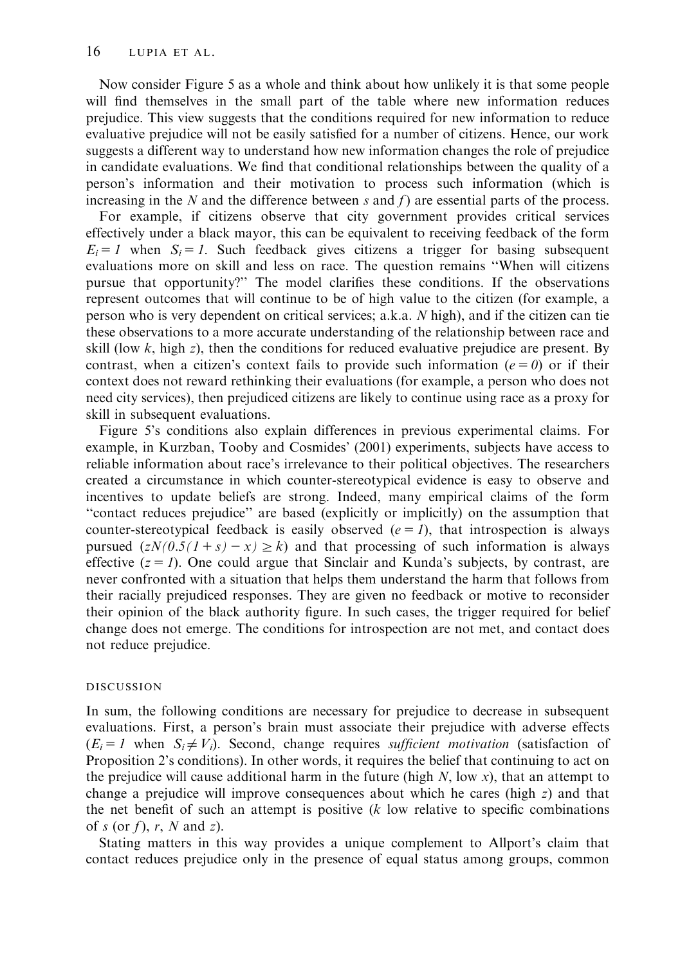Now consider [Figure 5](#page-15-0) as a whole and think about how unlikely it is that some people will find themselves in the small part of the table where new information reduces prejudice. This view suggests that the conditions required for new information to reduce evaluative prejudice will not be easily satisfied for a number of citizens. Hence, our work suggests a different way to understand how new information changes the role of prejudice in candidate evaluations. We find that conditional relationships between the quality of a person's information and their motivation to process such information (which is increasing in the N and the difference between s and  $f$ ) are essential parts of the process.

For example, if citizens observe that city government provides critical services effectively under a black mayor, this can be equivalent to receiving feedback of the form  $E_i = 1$  when  $S_i = 1$ . Such feedback gives citizens a trigger for basing subsequent evaluations more on skill and less on race. The question remains ''When will citizens pursue that opportunity?'' The model clarifies these conditions. If the observations represent outcomes that will continue to be of high value to the citizen (for example, a person who is very dependent on critical services; a.k.a. N high), and if the citizen can tie these observations to a more accurate understanding of the relationship between race and skill (low  $k$ , high  $z$ ), then the conditions for reduced evaluative prejudice are present. By contrast, when a citizen's context fails to provide such information ( $e = 0$ ) or if their context does not reward rethinking their evaluations (for example, a person who does not need city services), then prejudiced citizens are likely to continue using race as a proxy for skill in subsequent evaluations.

[Figure 5'](#page-15-0)s conditions also explain differences in previous experimental claims. For example, in Kurzban, Tooby and Cosmides' ([2001](#page-19-0)) experiments, subjects have access to reliable information about race's irrelevance to their political objectives. The researchers created a circumstance in which counter-stereotypical evidence is easy to observe and incentives to update beliefs are strong. Indeed, many empirical claims of the form ''contact reduces prejudice'' are based (explicitly or implicitly) on the assumption that counter-stereotypical feedback is easily observed  $(e = 1)$ , that introspection is always pursued  $\left(\frac{zN(0.5(1+s)-x)}{2k}\right)$  and that processing of such information is always effective  $(z = 1)$ . One could argue that Sinclair and Kunda's subjects, by contrast, are never confronted with a situation that helps them understand the harm that follows from their racially prejudiced responses. They are given no feedback or motive to reconsider their opinion of the black authority figure. In such cases, the trigger required for belief change does not emerge. The conditions for introspection are not met, and contact does not reduce prejudice.

### DISCUSSION

In sum, the following conditions are necessary for prejudice to decrease in subsequent evaluations. First, a person's brain must associate their prejudice with adverse effects  $(E_i = 1$  when  $S_i \neq V_i$ ). Second, change requires *sufficient motivation* (satisfaction of Proposition 2's conditions). In other words, it requires the belief that continuing to act on the prejudice will cause additional harm in the future (high  $N$ , low x), that an attempt to change a prejudice will improve consequences about which he cares (high  $z$ ) and that the net benefit of such an attempt is positive  $(k \text{ low relative to specific combinations})$ of s (or f), r, N and z).

Stating matters in this way provides a unique complement to Allport's claim that contact reduces prejudice only in the presence of equal status among groups, common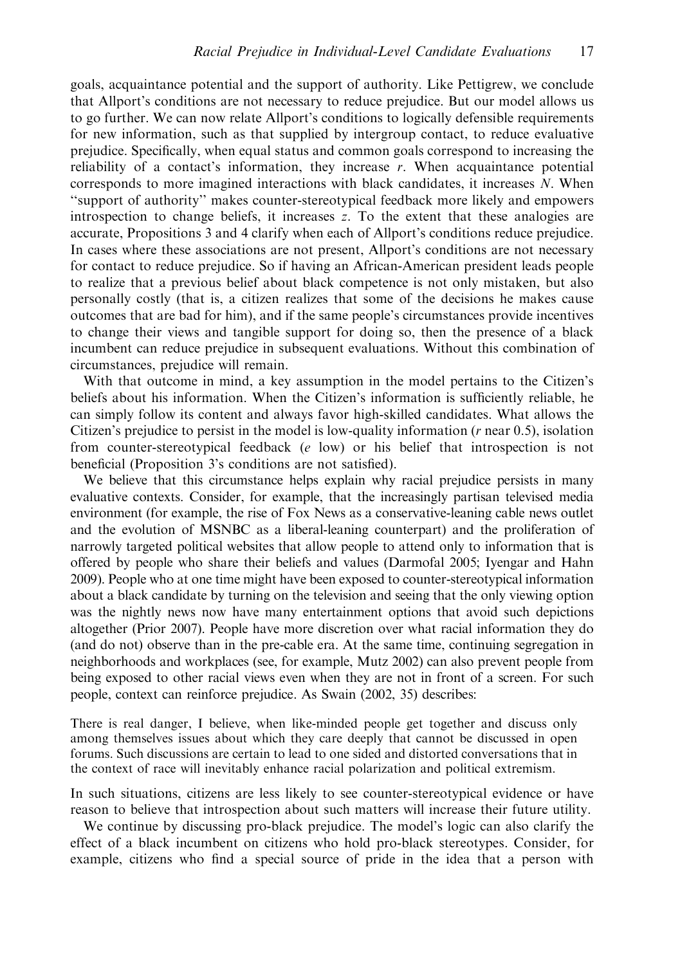goals, acquaintance potential and the support of authority. Like Pettigrew, we conclude that Allport's conditions are not necessary to reduce prejudice. But our model allows us to go further. We can now relate Allport's conditions to logically defensible requirements for new information, such as that supplied by intergroup contact, to reduce evaluative prejudice. Specifically, when equal status and common goals correspond to increasing the reliability of a contact's information, they increase  $r$ . When acquaintance potential corresponds to more imagined interactions with black candidates, it increases  $N$ . When ''support of authority'' makes counter-stereotypical feedback more likely and empowers introspection to change beliefs, it increases z. To the extent that these analogies are accurate, Propositions 3 and 4 clarify when each of Allport's conditions reduce prejudice. In cases where these associations are not present, Allport's conditions are not necessary for contact to reduce prejudice. So if having an African-American president leads people to realize that a previous belief about black competence is not only mistaken, but also personally costly (that is, a citizen realizes that some of the decisions he makes cause outcomes that are bad for him), and if the same people's circumstances provide incentives to change their views and tangible support for doing so, then the presence of a black incumbent can reduce prejudice in subsequent evaluations. Without this combination of circumstances, prejudice will remain.

With that outcome in mind, a key assumption in the model pertains to the Citizen's beliefs about his information. When the Citizen's information is sufficiently reliable, he can simply follow its content and always favor high-skilled candidates. What allows the Citizen's prejudice to persist in the model is low-quality information (r near 0.5), isolation from counter-stereotypical feedback (e low) or his belief that introspection is not beneficial (Proposition 3's conditions are not satisfied).

We believe that this circumstance helps explain why racial prejudice persists in many evaluative contexts. Consider, for example, that the increasingly partisan televised media environment (for example, the rise of Fox News as a conservative-leaning cable news outlet and the evolution of MSNBC as a liberal-leaning counterpart) and the proliferation of narrowly targeted political websites that allow people to attend only to information that is offered by people who share their beliefs and values (Darmofal [2005;](#page-18-0) Iyengar and Hahn [2009](#page-19-0)). People who at one time might have been exposed to counter-stereotypical information about a black candidate by turning on the television and seeing that the only viewing option was the nightly news now have many entertainment options that avoid such depictions altogether (Prior [2007](#page-20-0)). People have more discretion over what racial information they do (and do not) observe than in the pre-cable era. At the same time, continuing segregation in neighborhoods and workplaces (see, for example, Mutz [2002\)](#page-19-0) can also prevent people from being exposed to other racial views even when they are not in front of a screen. For such people, context can reinforce prejudice. As Swain ([2002](#page-20-0), 35) describes:

There is real danger, I believe, when like-minded people get together and discuss only among themselves issues about which they care deeply that cannot be discussed in open forums. Such discussions are certain to lead to one sided and distorted conversations that in the context of race will inevitably enhance racial polarization and political extremism.

In such situations, citizens are less likely to see counter-stereotypical evidence or have reason to believe that introspection about such matters will increase their future utility.

We continue by discussing pro-black prejudice. The model's logic can also clarify the effect of a black incumbent on citizens who hold pro-black stereotypes. Consider, for example, citizens who find a special source of pride in the idea that a person with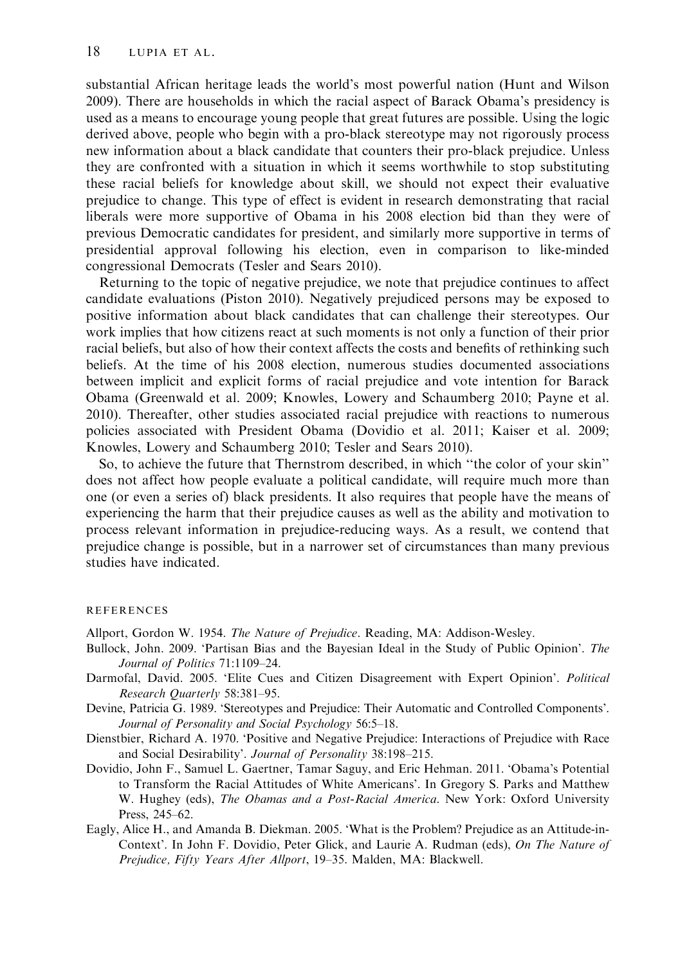<span id="page-18-0"></span>substantial African heritage leads the world's most powerful nation (Hunt and Wilson [2009](#page-19-0)). There are households in which the racial aspect of Barack Obama's presidency is used as a means to encourage young people that great futures are possible. Using the logic derived above, people who begin with a pro-black stereotype may not rigorously process new information about a black candidate that counters their pro-black prejudice. Unless they are confronted with a situation in which it seems worthwhile to stop substituting these racial beliefs for knowledge about skill, we should not expect their evaluative prejudice to change. This type of effect is evident in research demonstrating that racial liberals were more supportive of Obama in his 2008 election bid than they were of previous Democratic candidates for president, and similarly more supportive in terms of presidential approval following his election, even in comparison to like-minded congressional Democrats (Tesler and Sears [2010\)](#page-20-0).

Returning to the topic of negative prejudice, we note that prejudice continues to affect candidate evaluations (Piston [2010](#page-20-0)). Negatively prejudiced persons may be exposed to positive information about black candidates that can challenge their stereotypes. Our work implies that how citizens react at such moments is not only a function of their prior racial beliefs, but also of how their context affects the costs and benefits of rethinking such beliefs. At the time of his 2008 election, numerous studies documented associations between implicit and explicit forms of racial prejudice and vote intention for Barack Obama (Greenwald et al. [2009](#page-19-0); Knowles, Lowery and Schaumberg [2010](#page-19-0); Payne et al. [2010](#page-19-0)). Thereafter, other studies associated racial prejudice with reactions to numerous policies associated with President Obama (Dovidio et al. 2011; Kaiser et al. [2009](#page-19-0); Knowles, Lowery and Schaumberg [2010;](#page-19-0) Tesler and Sears [2010](#page-20-0)).

So, to achieve the future that Thernstrom described, in which ''the color of your skin'' does not affect how people evaluate a political candidate, will require much more than one (or even a series of) black presidents. It also requires that people have the means of experiencing the harm that their prejudice causes as well as the ability and motivation to process relevant information in prejudice-reducing ways. As a result, we contend that prejudice change is possible, but in a narrower set of circumstances than many previous studies have indicated.

#### REFERENCES

Allport, Gordon W. 1954. The Nature of Prejudice. Reading, MA: Addison-Wesley.

- Bullock, John. 2009. 'Partisan Bias and the Bayesian Ideal in the Study of Public Opinion'. The Journal of Politics 71:1109–24.
- Darmofal, David. 2005. 'Elite Cues and Citizen Disagreement with Expert Opinion'. Political Research Quarterly 58:381–95.
- Devine, Patricia G. 1989. 'Stereotypes and Prejudice: Their Automatic and Controlled Components'. Journal of Personality and Social Psychology 56:5–18.
- Dienstbier, Richard A. 1970. 'Positive and Negative Prejudice: Interactions of Prejudice with Race and Social Desirability'. Journal of Personality 38:198–215.
- Dovidio, John F., Samuel L. Gaertner, Tamar Saguy, and Eric Hehman. 2011. 'Obama's Potential to Transform the Racial Attitudes of White Americans'. In Gregory S. Parks and Matthew W. Hughey (eds), The Obamas and a Post-Racial America. New York: Oxford University Press, 245–62.
- Eagly, Alice H., and Amanda B. Diekman. 2005. 'What is the Problem? Prejudice as an Attitude-in-Context'. In John F. Dovidio, Peter Glick, and Laurie A. Rudman (eds), On The Nature of Prejudice, Fifty Years After Allport, 19–35. Malden, MA: Blackwell.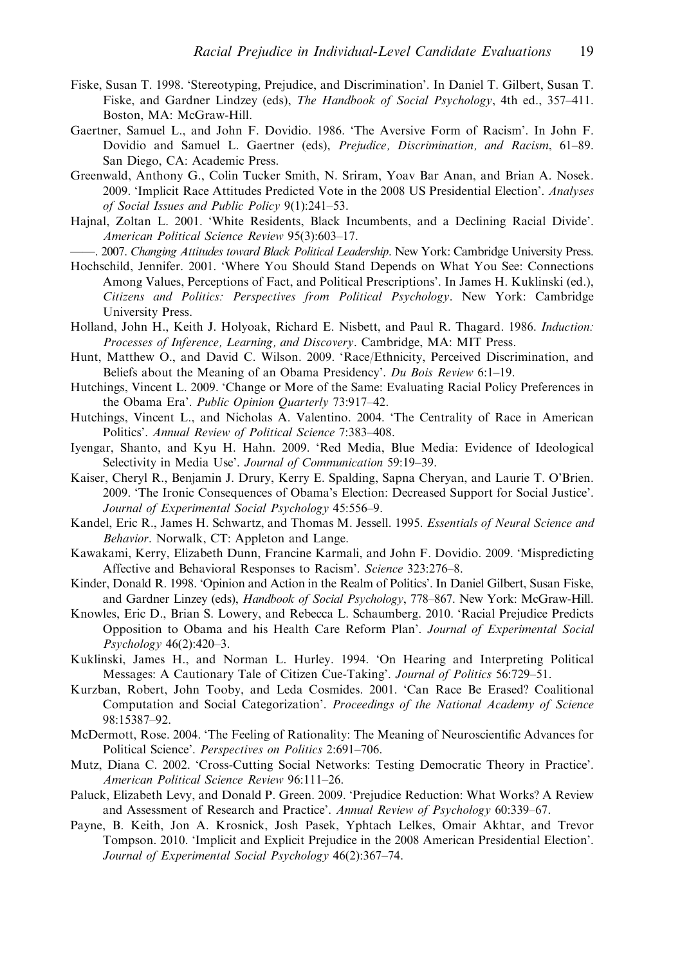- <span id="page-19-0"></span>Fiske, Susan T. 1998. 'Stereotyping, Prejudice, and Discrimination'. In Daniel T. Gilbert, Susan T. Fiske, and Gardner Lindzey (eds), The Handbook of Social Psychology, 4th ed., 357–411. Boston, MA: McGraw-Hill.
- Gaertner, Samuel L., and John F. Dovidio. 1986. 'The Aversive Form of Racism'. In John F. Dovidio and Samuel L. Gaertner (eds), Prejudice, Discrimination, and Racism, 61–89. San Diego, CA: Academic Press.
- Greenwald, Anthony G., Colin Tucker Smith, N. Sriram, Yoav Bar Anan, and Brian A. Nosek. 2009. 'Implicit Race Attitudes Predicted Vote in the 2008 US Presidential Election'. Analyses of Social Issues and Public Policy 9(1):241–53.
- Hajnal, Zoltan L. 2001. 'White Residents, Black Incumbents, and a Declining Racial Divide'. American Political Science Review 95(3):603–17.
- 2007. Changing Attitudes toward Black Political Leadership. New York: Cambridge University Press.
- Hochschild, Jennifer. 2001. 'Where You Should Stand Depends on What You See: Connections Among Values, Perceptions of Fact, and Political Prescriptions'. In James H. Kuklinski (ed.), Citizens and Politics: Perspectives from Political Psychology. New York: Cambridge University Press.
- Holland, John H., Keith J. Holyoak, Richard E. Nisbett, and Paul R. Thagard. 1986. Induction: Processes of Inference, Learning, and Discovery. Cambridge, MA: MIT Press.
- Hunt, Matthew O., and David C. Wilson. 2009. 'Race/Ethnicity, Perceived Discrimination, and Beliefs about the Meaning of an Obama Presidency'. Du Bois Review 6:1-19.
- Hutchings, Vincent L. 2009. 'Change or More of the Same: Evaluating Racial Policy Preferences in the Obama Era'. Public Opinion Quarterly 73:917–42.
- Hutchings, Vincent L., and Nicholas A. Valentino. 2004. 'The Centrality of Race in American Politics'. Annual Review of Political Science 7:383–408.
- Iyengar, Shanto, and Kyu H. Hahn. 2009. 'Red Media, Blue Media: Evidence of Ideological Selectivity in Media Use'. Journal of Communication 59:19–39.
- Kaiser, Cheryl R., Benjamin J. Drury, Kerry E. Spalding, Sapna Cheryan, and Laurie T. O'Brien. 2009. 'The Ironic Consequences of Obama's Election: Decreased Support for Social Justice'. Journal of Experimental Social Psychology 45:556–9.
- Kandel, Eric R., James H. Schwartz, and Thomas M. Jessell. 1995. Essentials of Neural Science and Behavior. Norwalk, CT: Appleton and Lange.
- Kawakami, Kerry, Elizabeth Dunn, Francine Karmali, and John F. Dovidio. 2009. 'Mispredicting Affective and Behavioral Responses to Racism'. Science 323:276–8.
- Kinder, Donald R. 1998. 'Opinion and Action in the Realm of Politics'. In Daniel Gilbert, Susan Fiske, and Gardner Linzey (eds), Handbook of Social Psychology, 778-867. New York: McGraw-Hill.
- Knowles, Eric D., Brian S. Lowery, and Rebecca L. Schaumberg. 2010. 'Racial Prejudice Predicts Opposition to Obama and his Health Care Reform Plan'. Journal of Experimental Social Psychology 46(2):420–3.
- Kuklinski, James H., and Norman L. Hurley. 1994. 'On Hearing and Interpreting Political Messages: A Cautionary Tale of Citizen Cue-Taking'. Journal of Politics 56:729–51.
- Kurzban, Robert, John Tooby, and Leda Cosmides. 2001. 'Can Race Be Erased? Coalitional Computation and Social Categorization'. Proceedings of the National Academy of Science 98:15387–92.
- McDermott, Rose. 2004. 'The Feeling of Rationality: The Meaning of Neuroscientific Advances for Political Science'. Perspectives on Politics 2:691–706.
- Mutz, Diana C. 2002. 'Cross-Cutting Social Networks: Testing Democratic Theory in Practice'. American Political Science Review 96:111–26.
- Paluck, Elizabeth Levy, and Donald P. Green. 2009. 'Prejudice Reduction: What Works? A Review and Assessment of Research and Practice'. Annual Review of Psychology 60:339–67.
- Payne, B. Keith, Jon A. Krosnick, Josh Pasek, Yphtach Lelkes, Omair Akhtar, and Trevor Tompson. 2010. 'Implicit and Explicit Prejudice in the 2008 American Presidential Election'. Journal of Experimental Social Psychology 46(2):367–74.